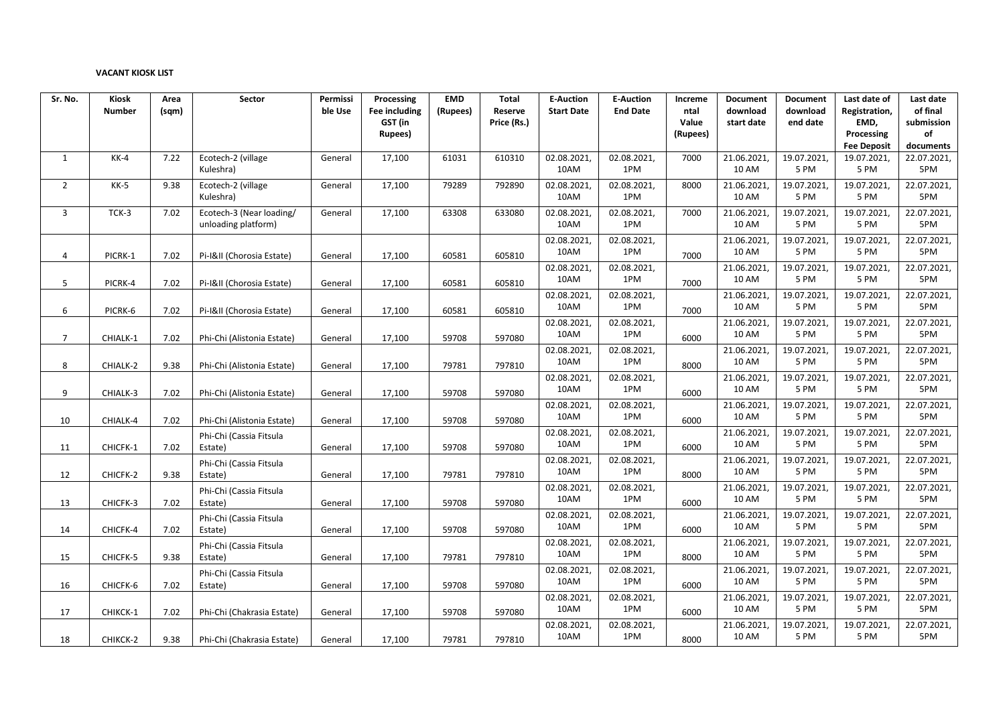## **VACANT KIOSK LIST**

| Sr. No.        | Kiosk         | Area  | Sector                     | Permissi | Processing    | <b>EMD</b> | Total       | <b>E-Auction</b>   | <b>E-Auction</b>   | Increme  | Document             | <b>Document</b>     | Last date of        | Last date          |
|----------------|---------------|-------|----------------------------|----------|---------------|------------|-------------|--------------------|--------------------|----------|----------------------|---------------------|---------------------|--------------------|
|                | <b>Number</b> | (sqm) |                            | ble Use  | Fee including | (Rupees)   | Reserve     | <b>Start Date</b>  | <b>End Date</b>    | ntal     | download             | download            | Registration,       | of final           |
|                |               |       |                            |          | GST (in       |            | Price (Rs.) |                    |                    | Value    | start date           | end date            | EMD,                | submission         |
|                |               |       |                            |          | Rupees)       |            |             |                    |                    | (Rupees) |                      |                     | Processing          | of                 |
|                |               |       |                            |          |               |            |             |                    |                    |          |                      |                     | <b>Fee Deposit</b>  | documents          |
| $\mathbf{1}$   | $KK-4$        | 7.22  | Ecotech-2 (village         | General  | 17,100        | 61031      | 610310      | 02.08.2021,        | 02.08.2021,        | 7000     | 21.06.2021           | 19.07.2021          | 19.07.2021,         | 22.07.2021,        |
|                |               |       | Kuleshra)                  |          |               |            |             | 10AM               | 1PM                |          | 10 AM                | 5 PM                | 5 PM                | 5PM                |
| $\overline{2}$ | $KK-5$        | 9.38  | Ecotech-2 (village         | General  | 17,100        | 79289      | 792890      | 02.08.2021,        | 02.08.2021,        | 8000     | 21.06.2021,          | 19.07.2021          | 19.07.2021,         | 22.07.2021,        |
|                |               |       | Kuleshra)                  |          |               |            |             | 10AM               | 1PM                |          | 10 AM                | 5 PM                | 5 PM                | 5PM                |
| 3              | $TCK-3$       | 7.02  | Ecotech-3 (Near loading/   | General  | 17,100        | 63308      | 633080      | 02.08.2021         | 02.08.2021,        | 7000     | 21.06.2021           | 19.07.2021          | 19.07.2021          | 22.07.2021,        |
|                |               |       | unloading platform)        |          |               |            |             | 10AM               | 1PM                |          | <b>10 AM</b>         | 5 PM                | 5 PM                | 5PM                |
|                |               |       |                            |          |               |            |             | 02.08.2021         | 02.08.2021,        |          | 21.06.2021           | 19.07.2021          | 19.07.2021          | 22.07.2021,        |
| 4              | PICRK-1       | 7.02  | Pi-I&II (Chorosia Estate)  | General  | 17,100        | 60581      | 605810      | 10AM               | 1PM                | 7000     | 10 AM                | 5 PM                | 5 PM                | 5PM                |
|                |               |       |                            |          |               |            |             | 02.08.2021,        | 02.08.2021,        |          | 21.06.2021,          | 19.07.2021,         | 19.07.2021,         | 22.07.2021,        |
| 5              | PICRK-4       | 7.02  | Pi-I&II (Chorosia Estate)  | General  | 17,100        | 60581      | 605810      | 10AM               | 1PM                | 7000     | <b>10 AM</b>         | 5 PM                | 5 PM                | 5PM                |
|                |               |       |                            |          |               |            |             | 02.08.2021         | 02.08.2021,        |          | 21.06.2021           | 19.07.2021          | 19.07.2021          | 22.07.2021,        |
|                |               |       |                            |          |               |            |             | 10AM               | 1PM                |          | <b>10 AM</b>         | 5 PM                | 5 PM                | 5PM                |
| 6              | PICRK-6       | 7.02  | Pi-I&II (Chorosia Estate)  | General  | 17,100        | 60581      | 605810      |                    |                    | 7000     |                      |                     |                     |                    |
|                |               |       |                            |          |               |            |             | 02.08.2021<br>10AM | 02.08.2021,<br>1PM |          | 21.06.2021<br>10 AM  | 19.07.2021<br>5 PM  | 19.07.2021,<br>5 PM | 22.07.2021,<br>5PM |
| $\overline{7}$ | CHIALK-1      | 7.02  | Phi-Chi (Alistonia Estate) | General  | 17,100        | 59708      | 597080      |                    |                    | 6000     |                      |                     |                     |                    |
|                |               |       |                            |          |               |            |             | 02.08.2021,        | 02.08.2021,        |          | 21.06.2021,          | 19.07.2021,         | 19.07.2021,         | 22.07.2021,        |
| 8              | CHIALK-2      | 9.38  | Phi-Chi (Alistonia Estate) | General  | 17,100        | 79781      | 797810      | 10AM               | 1PM                | 8000     | 10 AM                | 5 PM                | 5 PM                | 5PM                |
|                |               |       |                            |          |               |            |             | 02.08.2021         | 02.08.2021,        |          | 21.06.2021           | 19.07.2021          | 19.07.2021          | 22.07.2021,        |
| 9              | CHIALK-3      | 7.02  | Phi-Chi (Alistonia Estate) | General  | 17,100        | 59708      | 597080      | 10AM               | 1PM                | 6000     | <b>10 AM</b>         | 5 PM                | 5 PM                | 5PM                |
|                |               |       |                            |          |               |            |             | 02.08.2021         | 02.08.2021,        |          | 21.06.2021           | 19.07.2021          | 19.07.2021,         | 22.07.2021,        |
| 10             | CHIALK-4      | 7.02  | Phi-Chi (Alistonia Estate) | General  | 17,100        | 59708      | 597080      | 10AM               | 1PM                | 6000     | 10 AM                | 5 PM                | 5 PM                | 5PM                |
|                |               |       | Phi-Chi (Cassia Fitsula    |          |               |            |             | 02.08.2021,        | 02.08.2021,        |          | 21.06.2021,          | 19.07.2021,         | 19.07.2021          | 22.07.2021,        |
| 11             | CHICFK-1      | 7.02  | Estate)                    | General  | 17,100        | 59708      | 597080      | 10AM               | 1PM                | 6000     | 10 AM                | 5 PM                | 5 PM                | 5PM                |
|                |               |       | Phi-Chi (Cassia Fitsula    |          |               |            |             | 02.08.2021,        | 02.08.2021,        |          | 21.06.2021,          | 19.07.2021,         | 19.07.2021,         | 22.07.2021,        |
| 12             | CHICFK-2      | 9.38  | Estate)                    | General  | 17,100        | 79781      | 797810      | 10AM               | 1PM                | 8000     | 10 AM                | 5 PM                | 5 PM                | 5PM                |
|                |               |       |                            |          |               |            |             | 02.08.2021         | 02.08.2021,        |          | 21.06.2021           | 19.07.2021          | 19.07.2021,         | 22.07.2021,        |
|                | CHICFK-3      | 7.02  | Phi-Chi (Cassia Fitsula    |          |               | 59708      | 597080      | 10AM               | 1PM                | 6000     | 10 AM                | 5 PM                | 5 PM                | 5PM                |
| 13             |               |       | Estate)                    | General  | 17,100        |            |             | 02.08.2021,        | 02.08.2021,        |          | 21.06.2021           | 19.07.2021          | 19.07.2021          | 22.07.2021,        |
|                |               |       | Phi-Chi (Cassia Fitsula    |          |               |            |             | 10AM               | 1PM                |          | 10 AM                | 5 PM                | 5 PM                | 5PM                |
| 14             | CHICFK-4      | 7.02  | Estate)                    | General  | 17,100        | 59708      | 597080      |                    |                    | 6000     |                      |                     | 19.07.2021,         | 22.07.2021,        |
|                |               |       | Phi-Chi (Cassia Fitsula    |          |               |            |             | 02.08.2021<br>10AM | 02.08.2021,<br>1PM |          | 21.06.2021,<br>10 AM | 19.07.2021,<br>5 PM | 5 PM                | 5PM                |
| 15             | CHICFK-5      | 9.38  | Estate)                    | General  | 17,100        | 79781      | 797810      |                    |                    | 8000     |                      |                     |                     |                    |
|                |               |       | Phi-Chi (Cassia Fitsula    |          |               |            |             | 02.08.2021,        | 02.08.2021,        |          | 21.06.2021           | 19.07.2021          | 19.07.2021,         | 22.07.2021,        |
| 16             | CHICFK-6      | 7.02  | Estate)                    | General  | 17,100        | 59708      | 597080      | 10AM               | 1PM                | 6000     | 10 AM                | 5 PM                | 5 PM                | 5PM                |
|                |               |       |                            |          |               |            |             | 02.08.2021,        | 02.08.2021,        |          | 21.06.2021,          | 19.07.2021          | 19.07.2021          | 22.07.2021,        |
| 17             | CHIKCK-1      | 7.02  | Phi-Chi (Chakrasia Estate) | General  | 17,100        | 59708      | 597080      | 10AM               | 1PM                | 6000     | 10 AM                | 5 PM                | 5 PM                | 5PM                |
|                |               |       |                            |          |               |            |             | 02.08.2021,        | 02.08.2021,        |          | 21.06.2021,          | 19.07.2021,         | 19.07.2021,         | 22.07.2021,        |
| 18             | CHIKCK-2      | 9.38  | Phi-Chi (Chakrasia Estate) | General  | 17,100        | 79781      | 797810      | 10AM               | 1PM                | 8000     | 10 AM                | 5 PM                | 5 PM                | 5PM                |